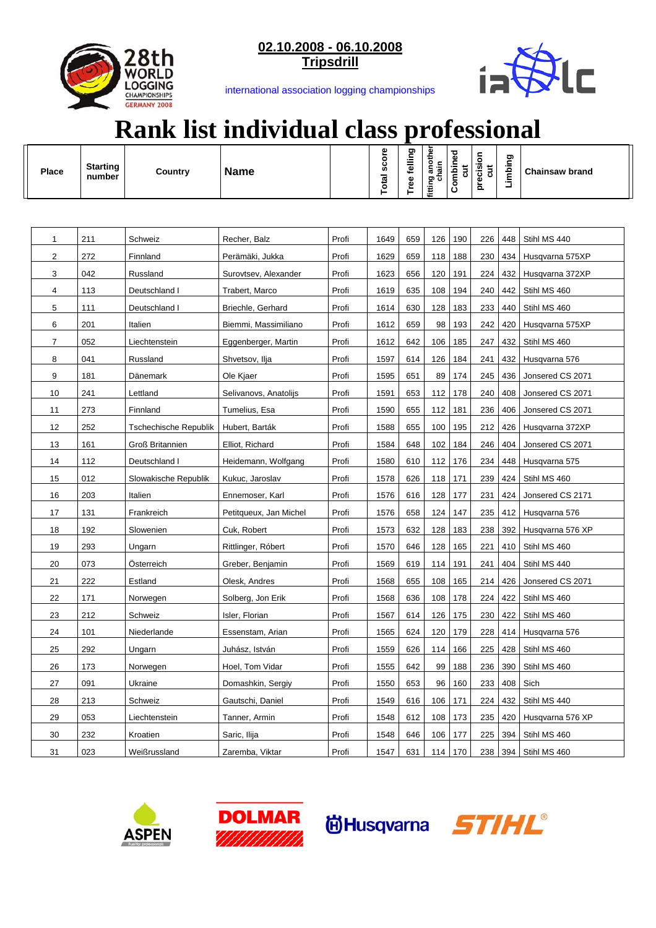

**02.10.2008 - 06.10.2008 Tripsdrill**



international association logging championships

## **Rank list individual class professional**

| <b>Place</b>   | <b>Starting</b><br>number | Country                      | <b>Name</b>            |       | Total score | Tree felling | another<br>hain<br>fitting<br>5 | Combined<br>$\overline{5}$ | precision<br>$\overline{\text{c}}$ | Limbing | <b>Chainsaw brand</b> |
|----------------|---------------------------|------------------------------|------------------------|-------|-------------|--------------|---------------------------------|----------------------------|------------------------------------|---------|-----------------------|
|                |                           |                              |                        |       |             |              |                                 |                            |                                    |         |                       |
| 1              | 211                       | Schweiz                      | Recher, Balz           | Profi | 1649        | 659          | 126                             | 190                        | 226                                | 448     | Stihl MS 440          |
| 2              | 272                       | Finnland                     | Perämäki, Jukka        | Profi | 1629        | 659          | 118                             | 188                        | 230                                | 434     | Husqvarna 575XP       |
| 3              | 042                       | Russland                     | Surovtsev, Alexander   | Profi | 1623        | 656          | 120                             | 191                        | 224                                | 432     | Husqvarna 372XP       |
| 4              | 113                       | Deutschland I                | Trabert, Marco         | Profi | 1619        | 635          | 108                             | 194                        | 240                                | 442     | Stihl MS 460          |
| 5              | 111                       | Deutschland I                | Briechle, Gerhard      | Profi | 1614        | 630          | 128                             | 183                        | 233                                | 440     | Stihl MS 460          |
| 6              | 201                       | Italien                      | Biemmi, Massimiliano   | Profi | 1612        | 659          | 98                              | 193                        | 242                                | 420     | Husqvarna 575XP       |
| $\overline{7}$ | 052                       | Liechtenstein                | Eggenberger, Martin    | Profi | 1612        | 642          | 106                             | 185                        | 247                                | 432     | Stihl MS 460          |
| 8              | 041                       | Russland                     | Shvetsov, Ilja         | Profi | 1597        | 614          | 126                             | 184                        | 241                                | 432     | Husqvarna 576         |
| 9              | 181                       | Dänemark                     | Ole Kjaer              | Profi | 1595        | 651          | 89                              | 174                        | 245                                | 436     | Jonsered CS 2071      |
| 10             | 241                       | Lettland                     | Selivanovs, Anatolijs  | Profi | 1591        | 653          | 112                             | 178                        | 240                                | 408     | Jonsered CS 2071      |
| 11             | 273                       | Finnland                     | Tumelius, Esa          | Profi | 1590        | 655          | 112                             | 181                        | 236                                | 406     | Jonsered CS 2071      |
| 12             | 252                       | <b>Tschechische Republik</b> | Hubert, Barták         | Profi | 1588        | 655          | 100                             | 195                        | 212                                | 426     | Husqvarna 372XP       |
| 13             | 161                       | Groß Britannien              | Elliot, Richard        | Profi | 1584        | 648          | 102                             | 184                        | 246                                | 404     | Jonsered CS 2071      |
| 14             | 112                       | Deutschland I                | Heidemann, Wolfgang    | Profi | 1580        | 610          | 112                             | 176                        | 234                                | 448     | Husqvarna 575         |
| 15             | 012                       | Slowakische Republik         | Kukuc, Jaroslav        | Profi | 1578        | 626          | 118                             | 171                        | 239                                | 424     | Stihl MS 460          |
| 16             | 203                       | Italien                      | Ennemoser, Karl        | Profi | 1576        | 616          | 128                             | 177                        | 231                                | 424     | Jonsered CS 2171      |
| 17             | 131                       | Frankreich                   | Petitqueux, Jan Michel | Profi | 1576        | 658          | 124                             | 147                        | 235                                | 412     | Husqvarna 576         |
| 18             | 192                       | Slowenien                    | Cuk, Robert            | Profi | 1573        | 632          | 128                             | 183                        | 238                                | 392     | Husqvarna 576 XP      |
| 19             | 293                       | Ungarn                       | Rittlinger, Róbert     | Profi | 1570        | 646          | 128                             | 165                        | 221                                | 410     | Stihl MS 460          |
| 20             | 073                       | Osterreich                   | Greber, Benjamin       | Profi | 1569        | 619          | 114                             | 191                        | 241                                | 404     | Stihl MS 440          |
| 21             | 222                       | Estland                      | Olesk, Andres          | Profi | 1568        | 655          | 108                             | 165                        | 214                                | 426     | Jonsered CS 2071      |
| 22             | 171                       | Norwegen                     | Solberg, Jon Erik      | Profi | 1568        | 636          | 108                             | 178                        | 224                                | 422     | Stihl MS 460          |
| 23             | 212                       | Schweiz                      | Isler, Florian         | Profi | 1567        | 614          | 126                             | 175                        | 230                                | 422     | Stihl MS 460          |
| 24             | 101                       | Niederlande                  | Essenstam, Arian       | Profi | 1565        | 624          | 120                             | 179                        | 228                                | 414     | Husqvarna 576         |
| 25             | 292                       | Ungarn                       | Juhász, István         | Profi | 1559        | 626          | 114                             | 166                        | 225                                | 428     | Stihl MS 460          |
| 26             | 173                       | Norwegen                     | Hoel, Tom Vidar        | Profi | 1555        | 642          | 99                              | 188                        | 236                                | 390     | Stihl MS 460          |
| 27             | 091                       | Ukraine                      | Domashkin, Sergiy      | Profi | 1550        | 653          | 96                              | 160                        | 233                                | 408     | Sich                  |
| 28             | 213                       | Schweiz                      | Gautschi, Daniel       | Profi | 1549        | 616          | 106                             | 171                        | 224                                | 432     | Stihl MS 440          |
| 29             | 053                       | Liechtenstein                | Tanner, Armin          | Profi | 1548        | 612          | 108                             | 173                        | 235                                | 420     | Husqvarna 576 XP      |
| 30             | 232                       | Kroatien                     | Saric, Ilija           | Profi | 1548        | 646          | 106                             | 177                        | 225                                | 394     | Stihl MS 460          |
| 31             | 023                       | Weißrussland                 | Zaremba, Viktar        | Profi | 1547        | 631          | 114                             | 170                        | 238                                | 394     | Stihl MS 460          |







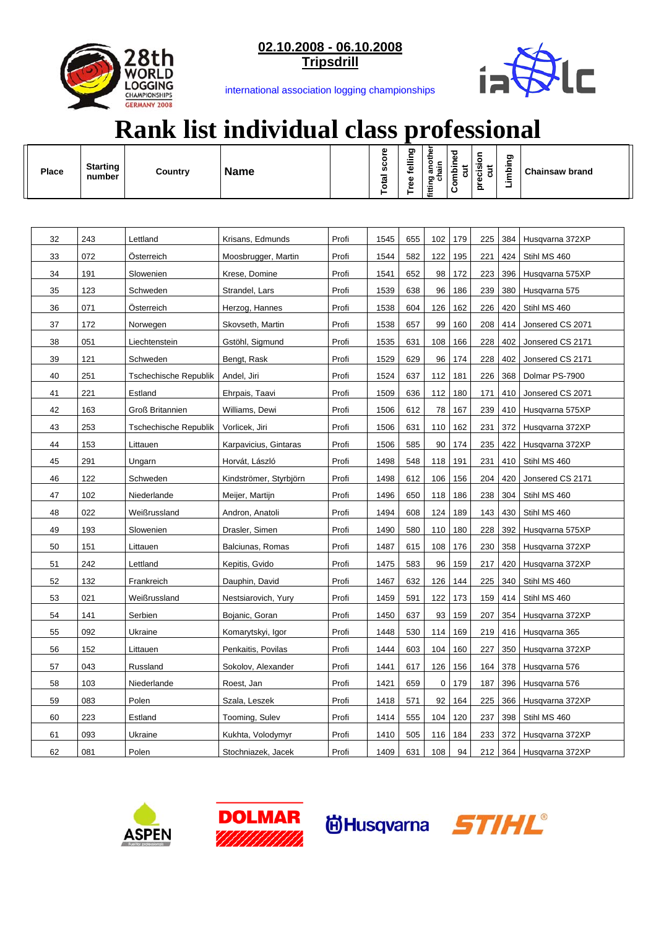

**02.10.2008 - 06.10.2008 Tripsdrill**



international association logging championships

## **Rank list individual class professional**

| <b>Place</b> | <b>Starting</b><br>number | Country                      | <b>Name</b>            |       | Total score | Tree felling | another<br>nain<br>fitting<br>75 | Combined<br>ã | precision<br>cut | Limbing | <b>Chainsaw brand</b>   |
|--------------|---------------------------|------------------------------|------------------------|-------|-------------|--------------|----------------------------------|---------------|------------------|---------|-------------------------|
|              |                           |                              |                        |       |             |              |                                  |               |                  |         |                         |
| 32           | 243                       | Lettland                     | Krisans, Edmunds       | Profi | 1545        | 655          | 102                              | 179           | 225              | 384     | Husqvarna 372XP         |
| 33           | 072                       | Osterreich                   | Moosbrugger, Martin    | Profi | 1544        | 582          | 122                              | 195           | 221              | 424     | Stihl MS 460            |
| 34           | 191                       | Slowenien                    | Krese, Domine          | Profi | 1541        | 652          | 98                               | 172           | 223              | 396     | Husqvarna 575XP         |
| 35           | 123                       | Schweden                     | Strandel, Lars         | Profi | 1539        | 638          | 96                               | 186           | 239              | 380     | Husqvarna 575           |
| 36           | 071                       | Osterreich                   | Herzog, Hannes         | Profi | 1538        | 604          | 126                              | 162           | 226              | 420     | Stihl MS 460            |
| 37           | 172                       | Norwegen                     | Skovseth, Martin       | Profi | 1538        | 657          | 99                               | 160           | 208              | 414     | Jonsered CS 2071        |
| 38           | 051                       | Liechtenstein                | Gstöhl, Sigmund        | Profi | 1535        | 631          | 108                              | 166           | 228              | 402     | Jonsered CS 2171        |
| 39           | 121                       | Schweden                     | Bengt, Rask            | Profi | 1529        | 629          | 96                               | 174           | 228              | 402     | Jonsered CS 2171        |
| 40           | 251                       | <b>Tschechische Republik</b> | Andel, Jiri            | Profi | 1524        | 637          | 112                              | 181           | 226              | 368     | Dolmar PS-7900          |
| 41           | 221                       | Estland                      | Ehrpais, Taavi         | Profi | 1509        | 636          | 112                              | 180           | 171              | 410     | Jonsered CS 2071        |
| 42           | 163                       | <b>Groß Britannien</b>       | Williams, Dewi         | Profi | 1506        | 612          | 78                               | 167           | 239              | 410     | Husqvarna 575XP         |
| 43           | 253                       | <b>Tschechische Republik</b> | Vorlicek, Jiri         | Profi | 1506        | 631          | 110                              | 162           | 231              | 372     | Husqvarna 372XP         |
| 44           | 153                       | Littauen                     | Karpavicius, Gintaras  | Profi | 1506        | 585          | 90                               | 174           | 235              | 422     | Husqvarna 372XP         |
| 45           | 291                       | Ungarn                       | Horvát, László         | Profi | 1498        | 548          | 118                              | 191           | 231              | 410     | Stihl MS 460            |
| 46           | 122                       | Schweden                     | Kindströmer, Styrbjörn | Profi | 1498        | 612          | 106                              | 156           | 204              | 420     | Jonsered CS 2171        |
| 47           | 102                       | Niederlande                  | Meijer, Martijn        | Profi | 1496        | 650          | 118                              | 186           | 238              | 304     | Stihl MS 460            |
| 48           | 022                       | Weißrussland                 | Andron, Anatoli        | Profi | 1494        | 608          | 124                              | 189           | 143              | 430     | Stihl MS 460            |
| 49           | 193                       | Slowenien                    | Drasler, Simen         | Profi | 1490        | 580          | 110                              | 180           | 228              | 392     | Husqvarna 575XP         |
| 50           | 151                       | Littauen                     | Balciunas, Romas       | Profi | 1487        | 615          | 108                              | 176           | 230              | 358     | Husqvarna 372XP         |
| 51           | 242                       | Lettland                     | Kepitis, Gvido         | Profi | 1475        | 583          | 96                               | 159           | 217              | 420     | Husqvarna 372XP         |
| 52           | 132                       | Frankreich                   | Dauphin, David         | Profi | 1467        | 632          | 126                              | 144           | 225              | 340     | Stihl MS 460            |
| 53           | 021                       | Weißrussland                 | Nestsiarovich, Yury    | Profi | 1459        | 591          | 122                              | 173           | 159              | 414     | Stihl MS 460            |
| 54           | 141                       | Serbien                      | Bojanic, Goran         | Profi | 1450        | 637          | 93                               | 159           | 207              | 354     | Husqvarna 372XP         |
| 55           | 092                       | Ukraine                      | Komarytskyi, Igor      | Profi | 1448        | 530          | 114                              | 169           | 219              | 416     | Husqvarna 365           |
| 56           | 152                       | Littauen                     | Penkaitis, Povilas     | Profi | 1444        | 603          | 104                              | 160           | 227              | 350     | Husqvarna 372XP         |
| 57           | 043                       | Russland                     | Sokolov, Alexander     | Profi | 1441        | 617          | 126                              | 156           | 164              | 378     | Husqvarna 576           |
| 58           | 103                       | Niederlande                  | Roest, Jan             | Profi | 1421        | 659          | 0                                | 179           | 187              | 396     | Husqvarna 576           |
| 59           | 083                       | Polen                        | Szala, Leszek          | Profi | 1418        | 571          | 92                               | 164           | 225              | 366     | Husqvarna 372XP         |
| 60           | 223                       | Estland                      | Tooming, Sulev         | Profi | 1414        | 555          | 104                              | 120           | 237              | 398     | Stihl MS 460            |
| 61           | 093                       | Ukraine                      | Kukhta, Volodymyr      | Profi | 1410        | 505          | 116                              | 184           | 233              | 372     | Husqvarna 372XP         |
| 62           | 081                       | Polen                        | Stochniazek, Jacek     | Profi | 1409        | 631          | 108                              | 94            |                  |         | 212 364 Husqvarna 372XP |